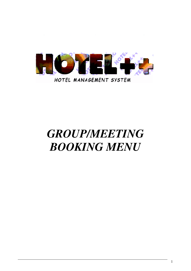

# *GROUP/MEETING BOOKING MENU*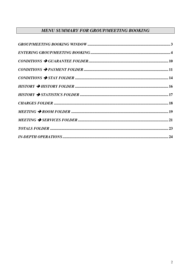# **MENU SUMMARY FOR GROUP/MEETING BOOKING**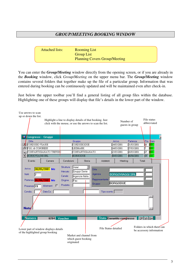## *GROUP/MEETING BOOKING WINDOW*

| <b>Attached lists:</b> | <b>Rooming List</b>                  |
|------------------------|--------------------------------------|
|                        | <b>Group List</b>                    |
|                        | <b>Planning Covers Group/Meeting</b> |

You can enter the *Group/Meeting* window directly from the opening screen, or if you are already in the *Booking* window, click *Group/Meeting* on the upper menu bar. The *Group/Meeting* window contains several folders that together make up the file of a particular group. Information that was entered during booking can be continuously updated and will be maintained even after check-in.

Just below the upper toolbar you'll find a general listing of all group files within the database. Highlighting one of these groups will display that file's details in the lower part of the window.

| Use arrows to scan<br>up or down the list.                                                    |                                                 | Highlight a line to display details of that booking. Just<br>click with the mouse, or use the arrows to scan the list. |                                                |                                                             |                                                   | Number of<br>guests in group | File status<br>abbreviated                                           |
|-----------------------------------------------------------------------------------------------|-------------------------------------------------|------------------------------------------------------------------------------------------------------------------------|------------------------------------------------|-------------------------------------------------------------|---------------------------------------------------|------------------------------|----------------------------------------------------------------------|
| <b>35 Congressi - Gruppi</b>                                                                  |                                                 |                                                                                                                        |                                                |                                                             |                                                   |                              |                                                                      |
| Ditta                                                                                         |                                                 | Gruppo                                                                                                                 |                                                |                                                             | Arrivo                                            | Partenza                     | Pre. Stato                                                           |
| Ξ<br>CORDUSIO VIAGGI                                                                          |                                                 |                                                                                                                        | CORDUSIODUE                                    |                                                             | 24/05/2001                                        | 31/05/2001                   | ķб<br><b>DG</b>                                                      |
| $\overline{\phantom{a}}$<br>F.B.I. & CONGRESS                                                 |                                                 |                                                                                                                        | <b>LEXMARK</b>                                 |                                                             | 24/05/2001                                        | 27/05/2001                   | B.<br>lbG.                                                           |
| ۰                                                                                             | CONFARTIGIANATO TREVIS <mark>O</mark>           |                                                                                                                        | CONFARTIGIANATO                                |                                                             | 25/05/2001                                        | 28/05/2001                   | 27<br>lbG.                                                           |
| <b>BORGOVIAGGI SRL</b><br>◪                                                                   |                                                 |                                                                                                                        | <b>BORGODUE</b>                                |                                                             | 30/05/2001                                        | 06/06/2001                   | $\overline{19}$<br>la la                                             |
| Evento                                                                                        | Camere                                          | Condizioni                                                                                                             | Storia                                         | Addebiti                                                    | Meeting                                           |                              | Totali                                                               |
| Arrivo<br>Notti<br>Partenza 06/06/2001 Me<br>Presenze <sup>19</sup><br>Condiz.<br><b>Note</b> | 30/05/2001 Me<br>Allotment $\Gamma$<br>Data Co. | Mercato<br>Canale<br>Origine<br>Fax<br>Prodotto                                                                        | Gruppi Serie<br>Agenzie Italia                 | Ditta<br>Agenzia<br>Rappresentante<br>Gruppo<br>Tipo sconto | <b>BORGOVIAGGI SRL</b><br><b>BORGODUE</b>         |                              |                                                                      |
| <b>Numero</b><br>Lower part of window displays details<br>of the highlighted group booking    | 6204                                            | Voucher<br>originated                                                                                                  | Market and channel from<br>which guest booking |                                                             | Stato Garantito congresso<br>File Status detailed |                              | Off WL Gar<br>Folders in which there can<br>be accessory information |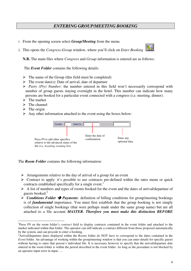## *ENTERING GROUP/MEETING BOOKING*

- 1. From the opening screen select *Group/Meeting* from the menu.
- 2. This opens the *Congress-Group* window, where you'll click on *Enter Booking* .



**N.B.** The main files where *Congress* and *Group* information is entered are as follows:

The *Event Folder* contains the following details:

- > The name of the Group (this field must be completed)
- $\triangleright$  The event date(s): Date of arrival, date of departure
- *Party (Pty) Number*: the number entered in this field won't necessarily correspond with number of group guests staying overnight in the hotel. This number can indicate how many persons are booked for a particular event connected with a congress (i.e. meeting, dinner).
- $\sum$  The market
- > The channel
- $\triangleright$  The origin
- > Any other information attached to the event using the boxes below:



The *Room Folder* contains the following information*:*

- > Arrangements relative to the day of arrival of a group for an event
- > Contract to apply: it's possible to use contracts pre-defined within the rates menu or quick contracts established specifically for a single event.<sup>1</sup>
- > A list of numbers and types of rooms booked for the event and the dates of arrival/departure of guests booked. 2
- > *Conditions Folder* > *Payments*: definition of billing conditions for group/meeting bookings is of *fundamental* importance. You must first establish that the group booking is not simply collection of single bookings (that were perhaps made under the same group name) but are all attached to a file account *MASTER. Therefore you must make this distinction BEFORE*

<sup>&</sup>lt;sup>1</sup>Press F9 on the room folder's *contract* field to display contracts contained in the event folder and attached to the market indicated within that folder. The operator can still indicate a contract different from those proposed automatically by the system, and can procede to enter a booking.

<sup>2</sup>Arrival/departure dates displayed within the *Rooms* folder do NOT have to correspond to the dates contained in the *Event* folder. An advantage of working within the group/meeting window is that you can enter details for specific guests without having to enter that person's individual file. It is necessary however to specify that the arrival/departure date entered in the room folder is within the period described in the event folder. As long as the procudure is not blocked by an operator input error in input.....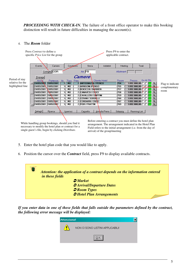*PROCEEDING WITH CHECK-IN.* The failure of a front office operator to make this booking distinction will result in future difficulties in managing the account(s).

#### 4. The *Room* folder

|                                                        | Press <i>Contract</i> to define a                                         | specific <i>Price List</i> for the group                                                                                                                                                                                                   |     |                                                                                 |            |                                                                                                                                                                                                               |                                                                                                                                                                                                         | Press F9 to enter the<br>applicable contract.                |        |                                                                                                                                                                        |                                                                                                                                                 |                                           |
|--------------------------------------------------------|---------------------------------------------------------------------------|--------------------------------------------------------------------------------------------------------------------------------------------------------------------------------------------------------------------------------------------|-----|---------------------------------------------------------------------------------|------------|---------------------------------------------------------------------------------------------------------------------------------------------------------------------------------------------------------------|---------------------------------------------------------------------------------------------------------------------------------------------------------------------------------------------------------|--------------------------------------------------------------|--------|------------------------------------------------------------------------------------------------------------------------------------------------------------------------|-------------------------------------------------------------------------------------------------------------------------------------------------|-------------------------------------------|
|                                                        | Evento                                                                    | Camere<br>Contratto COR                                                                                                                                                                                                                    |     |                                                                                 | Condizioni | Storia<br>Arr. $FB$                                                                                                                                                                                           | Addebiti                                                                                                                                                                                                | Meeting<br>Allotment                                         |        | Totali                                                                                                                                                                 |                                                                                                                                                 |                                           |
| Period of stay<br>relative for the<br>highlighted line | Propaga<br>Arrivo<br>24/05/2001<br>24/05/2001<br>24/05/2001<br>24/05/2001 | Partenza<br>31/05/2001<br>24/05/200 31/05/2001<br>31/05/2001<br>24/05/2001 3\/05/2001<br>31/05/2001<br>31/05/2001<br>24/05/2001 31/05/2001<br>$\sqrt{24/05/2001}$ 31/05/2001                                                               | Nr. | Tipo:<br><b>MO</b><br>M <sub>0</sub><br>MO<br>MO<br>MO<br>MO<br>MO<br><b>MO</b> | Pres.      | Camere<br>2 ANTOGNAZZA / PERICO<br>2 ARRIGONI /PERIGO<br>2 BOIOCCHI / BARBIERI<br><b>2 CANAVESI / CROCI</b><br>2 CAVALLERI / GRIFFINI<br>2 CERANI / SORDELLI<br>2 CORDARRI / CROCI<br><b>2 FIOR / FRATTIN</b> | <b>Cliente Hotel</b>                                                                                                                                                                                    | Room<br>754<br>755<br>757<br>758<br>759<br>760<br>767<br>769 | Prezzo | $1.092.000.00$ $\Box$<br>$1.092.000,00$ $\Gamma$ $\Gamma$<br>$1.092.000,00$ $\Gamma$ $\Gamma$<br>1.092.000,00<br>1.092.000,00<br>1.092.000,00<br>$1.092.000,00$ $\Box$ | Gr.All.Sts<br>GA PL<br>$1.092.000,00$ $\Box$ $\Box$ $\Box$ $\Box$<br><b>RL</b><br><b>RL</b><br><b>RL</b><br><b>RL</b><br><b>RL</b><br><b>RL</b> | Flag to indicate<br>complimentary<br>room |
|                                                        | Dettagli                                                                  | Ricerca<br>While handling group bookings, should you find it<br>necessary to modify the hotel plan or contract for a<br>$\mathbf{r}$ and $\mathbf{r}$ and $\mathbf{r}$ and $\mathbf{r}$ and $\mathbf{r}$ and $\mathbf{r}$ and $\mathbf{r}$ |     | Inserisci                                                                       |            | Cancella                                                                                                                                                                                                      | Annulla Preno<br>Before entering a contract you must define the hotel plan<br>arrangement. The arrangement indicated in the Hotel Plan<br>Field refers to the initial arrangement (i.e. from the day of | Sdoppia                                                      |        | Rooming List                                                                                                                                                           |                                                                                                                                                 |                                           |

5. Enter the hotel plan code that you would like to apply.

single guest's file, begin by clicking *Distribute*.

6. Position the cursor over the *Contract* field, press F9 to display available contracts.



arrival) of the group/meeting

If you enter data in one of these fields that falls outside the parameters defined by the contract, *the following error message will be displayed:*

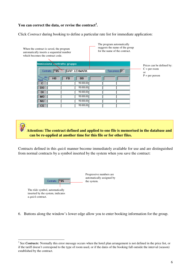#### **You can correct the data, or revise the contract 3 .**

Click *Contract* during booking to define a particular rate list for immediate application:



**Attention: The contract defined and applied to one file is memorised in the database and can be re-applied at another time for this file or for other files.**

Contracts defined in this *quick* manner become immediately available for use and are distinguished from normal contracts by a symbol inserted by the system when you save the contract:



Progressive numbers are automatically assigned by the system.

The *tilde* symbol, automatically inserted by the system, indicates a *quick* contract.

6. Buttons along the window's lower edge allow you to enter booking information for the group.

<sup>&</sup>lt;sup>3</sup> See *Contracts*: Normally this error message occurs when the hotel plan arrangement is not defined in the price list, or if the tariff doesn't correspond to the type of room used, or if the dates of the booking fall outside the interval (season) established by the contract.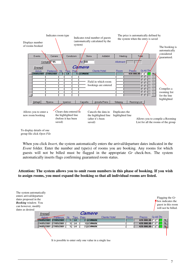

To display details of one group file click *Open File*

When you click *Insert*, the system automatically enters the arrival/departure dates indicated in the *Event* folder. Enter the number and type(s) of rooms you are booking. Any rooms for which guests will not be billed must be flagged in the appropriate *Gr* check-box. The system automatically inserts flags confirming guaranteed room status.

**Attention: The system allows you to omit room numbers in this phase of booking. If you wish to assign rooms, you must expand the booking so that all individual rooms are listed.**

|          |                                                              |    |       |               |                                                           | Flagging the $Gr$<br>$\uparrow$ box indicates the<br>guest in this room<br>will not be billed. |
|----------|--------------------------------------------------------------|----|-------|---------------|-----------------------------------------------------------|------------------------------------------------------------------------------------------------|
|          |                                                              |    |       |               |                                                           |                                                                                                |
| Partenza | Nr.                                                          |    | Pres. | Cliente Hotel | Room                                                      | Gr.All.Sts<br>Prezzo                                                                           |
|          |                                                              | L4 |       |               |                                                           | 420.000,00 $\Box$ $\Box$ $\Box$ $\Box$                                                         |
|          |                                                              | L4 |       |               |                                                           | 420.000,00<br><b>RL</b>                                                                        |
|          |                                                              | L4 |       |               |                                                           | 420.000,00 □ □ □ <mark>GA F/4</mark>                                                           |
|          |                                                              |    |       |               |                                                           |                                                                                                |
|          | 24/05/2001 27/05/2001<br>27/05/2001<br>24/05/2001 27/05/2001 |    |       | Tipo :        | <i>Camere</i><br>2 LEXMARK<br><b>LEXMARK</b><br>2 LEXMARK |                                                                                                |

7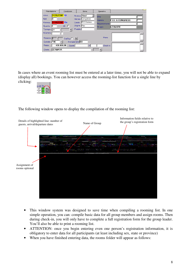| Prenotazione                                                                              | Condizioni                                                                          | Storia                                                                                                        | Operativo                                           |                                         |
|-------------------------------------------------------------------------------------------|-------------------------------------------------------------------------------------|---------------------------------------------------------------------------------------------------------------|-----------------------------------------------------|-----------------------------------------|
| Arrivo<br><b>Notti</b><br>Partenza<br>Quantita<br>Tipologia<br>L <sub>4</sub><br>N.Camera | 24/05/2001 Gi<br>27/05/2001 Do<br>All. $\square$                                    | Struttura Hotel<br>Congressi<br>Mercato<br>PCO Italiani<br><b>Canale</b><br><b>Fax</b><br>Origine<br>Prodotto | <b>Ditta</b><br>Agenzia<br>Rappresentante<br>Gruppo | <b>F.B.I. &amp; CONGRESS</b><br>LEXMARK |
| Presenze 2<br> ~85<br>Contratto<br>Prezzo<br><b>LEXMARK</b><br>Cliente                    | Gra'Osp <sup>[18]</sup><br>Arrangiamento BB<br>$\mathbf{v}$<br>420.000,00<br>Sconto | $\frac{3}{2}$                                                                                                 | Preno<br>Check-in                                   |                                         |

In cases where an event rooming list must be entered at a later time, you will not be able to expand (display all) bookings. You can however access the rooming-list function for a single line by clicking:



The following window opens to display the compilation of the rooming list:



- This window system was designed to save time when compiling a rooming list. In one simple operation, you can: compile basic data for all group members and assign rooms. Then during check-in, you will only have to complete a full registration form for the group leader. You'll also be able to print a rooming list.
- ATTENTION: once you begin entering even one person's registration information, it is obligatory to enter data for all participants (at least including sex, state or province)
- When you have finished entering data, the rooms folder will appear as follows: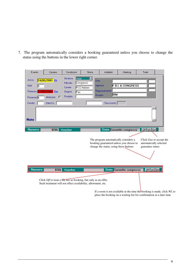7. The program automatically considers a booking guaranteed unless you choose to change the status using the buttons in the lower right corner.

| Evento                                                                                         | Camere                                                                                                                                 | Condizioni                                                            | Storia                              | Addebiti                                                                        | Meeting                                                              | Totali                                                                                |
|------------------------------------------------------------------------------------------------|----------------------------------------------------------------------------------------------------------------------------------------|-----------------------------------------------------------------------|-------------------------------------|---------------------------------------------------------------------------------|----------------------------------------------------------------------|---------------------------------------------------------------------------------------|
| Arrivo<br>Notti<br>Partenza 27/05/2001 Do<br>Presenze <sup>1</sup> 5<br>Condiz.<br><b>Note</b> | 24/05/2001 Gi<br><b>Allotment</b><br>г<br>Data Co.                                                                                     | Hotel<br>Struttura<br>Mercato<br>Canale<br>Origine<br>Fax<br>Prodotto | Ditta<br> Congressi<br>PCO Italiani | Agenzia<br>Rappresentante<br>libm<br>Gruppo<br>Tipo sconto                      | <b>F.B.I. &amp; CONGRESS</b>                                         |                                                                                       |
| <b>Numero</b>                                                                                  | 8266                                                                                                                                   | Voucher                                                               |                                     | The program automatically considers a<br>change the status, using these buttons | Stato Garantito congresso<br>booking guaranteed unless you choose to | Off   WL Gar<br>Click Gua to accept the<br>automatically selected<br>guarantee status |
| <b>Numero</b>                                                                                  | 8266<br>Click Off to treat a frienot as booking, but only as an offer.<br>Such treatment will not effect availability, allowment, etc. | Voucher                                                               |                                     |                                                                                 | Stato Garantito congresso                                            | Off WL Gar                                                                            |

If a room is not available at the time the booking is made, click *WL* to place the booking on a waiting list for confirmation at a later time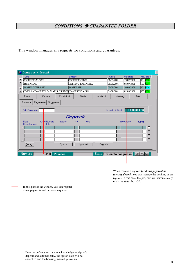## *CONDITIONS GUARANTEE FOLDER*

This window manages any requests for conditions and guarantees.

| Ditta                                       |                                                 | Gruppo     |                    |          | Arrivo                           | Pre. Stato<br>Partenza              |      |
|---------------------------------------------|-------------------------------------------------|------------|--------------------|----------|----------------------------------|-------------------------------------|------|
| ×<br>CORDUSIO VIAGGI                        |                                                 |            | CORDUSIODIECI      |          | 01/09/2001                       | 13/09/2001<br>阿                     | lag. |
| ≐<br>INTERCRAL                              |                                                 |            | MEETING 2 AMICIZIA |          | 01/09/2001                       | 08/09/2001<br>120<br><b>GG</b>      |      |
| SAMPEI TOURS SRL<br>$\overline{\mathbf{v}}$ |                                                 |            | SAMPEISEI          |          | 03/09/2001                       | छि<br>10/09/2001<br><b>GO</b>       |      |
| ×.                                          | CORSI & CONGRESSI DI MARIA CARME CONGRESSO AIRO |            |                    |          | 04/09/2001                       | 350 GG<br>08/09/2001                |      |
| Evento                                      | Camere                                          | Condizioni | Storia             | Addebiti | Meeting                          | Totali                              |      |
| Pagamento<br>Garanzia                       | Soggiorno                                       |            |                    |          |                                  |                                     |      |
| Data Conferma                               |                                                 |            |                    |          | Importo richiesto   5.000.000,00 |                                     |      |
|                                             |                                                 |            | Depositi           |          |                                  |                                     |      |
| <b>Data</b>                                 | Anho Numero<br>Importo                          |            | Iva<br>Note        |          | <b>Intestalario</b>              | Conto                               |      |
| Registrazione                               | Interno                                         |            |                    |          |                                  |                                     | г    |
|                                             |                                                 |            |                    |          |                                  |                                     |      |
|                                             |                                                 |            |                    |          |                                  |                                     |      |
|                                             |                                                 |            |                    |          |                                  |                                     |      |
|                                             |                                                 |            |                    |          |                                  |                                     |      |
| Dettagli                                    |                                                 | Ricerca    | Inserisci          | Cancella |                                  |                                     |      |
| <b>Numero</b>                               | 6230<br>Voucher                                 |            |                    |          |                                  | Stato Opzionato congresso Of WL Gar |      |

When there is a r*equest for down payment or security deposit,* you can manage the booking as an *Option.* In this case, the program will automatically mark the status box *OP*.

In this part of the window you can register down payments and deposits requested.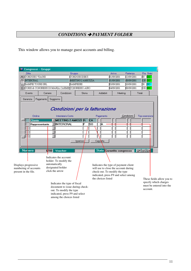## *CONDITIONS PAYMENT FOLDER*

This window allows you to manage guest accounts and billing.

| Congressi - Gruppi                                                    |                                                                                                                                                          |                              |                            |                                                                                                                                                       |            |                                                               |
|-----------------------------------------------------------------------|----------------------------------------------------------------------------------------------------------------------------------------------------------|------------------------------|----------------------------|-------------------------------------------------------------------------------------------------------------------------------------------------------|------------|---------------------------------------------------------------|
| Ditta                                                                 |                                                                                                                                                          | Gruppo                       |                            | Arrivo                                                                                                                                                | Partenza   | Pre. Stato                                                    |
| 革<br>CORDUSIO VIAGGI                                                  |                                                                                                                                                          | CORDUSIODIECI                |                            | 01/09/2001                                                                                                                                            | 13/09/2001 | 30<br><b>GG</b>                                               |
| $\triangle$<br><b>INTERCRAL</b>                                       |                                                                                                                                                          | MEETING 2 AMICIZIA           |                            | 01/09/2001                                                                                                                                            | 08/09/2001 | $120$ GG                                                      |
| SAMPEI TOURS SRL<br>۰                                                 |                                                                                                                                                          | SAMPEISEI                    |                            | 03/09/2001                                                                                                                                            | 10/09/2001 | ⅏<br><b>GO</b>                                                |
| $\vert x \vert$                                                       | CORSI & CONGRESSI DI MARIA CARME CONGRESSO AIRO                                                                                                          |                              |                            | 04/09/2001                                                                                                                                            | 08/09/2001 | 350 <mark>GG</mark>                                           |
| Evento                                                                | Camere<br>Condizioni                                                                                                                                     | Storia                       | Addebiti                   | Meeting                                                                                                                                               |            | Totali                                                        |
| Pagamento<br>Ordine<br><b>Cliente</b><br>Rappresentante               | Condizioni per la fatturazione<br>Intestatario Conto<br>VMEETING 2 AMICIZI R<br><b>FINTERCRAL</b>                                                        | CA<br>lso<br>ΙF<br>Inserisci | Pagamento<br>А<br>Cancella |                                                                                                                                                       | Condizioni | Tipo esenzione                                                |
| <b>Nurnero</b>                                                        | Voucher<br>6700                                                                                                                                          |                              |                            | Stato Garantito congresso                                                                                                                             |            | Off WL Gar                                                    |
| Displays progressive<br>numbering of accounts<br>present in the file. | Indicates the account<br>holder. To modify the<br>automatically<br>designated holder<br>click the arrow                                                  |                              | the choices listed         | Indicates the type of payment client<br>will use to close the account during<br>check-out. To modify the type<br>indicated, press F9 and select among |            | These fields allow you to                                     |
|                                                                       | Indicates the type of fiscal<br>document to issue during check-<br>out. To modify the type<br>indicated, press F9 and select<br>among the choices listed |                              |                            |                                                                                                                                                       |            | specify which charges<br>must be entered into the<br>account. |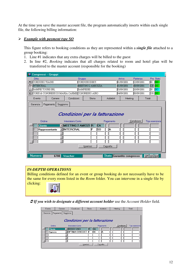At the time you save the master account file, the program automatically inserts within each single file, the following billing information:

#### - *Example with payment type SO*

This figure refers to booking conditions as they are represented within a *single file* attached to a group booking:

- 1. Line #1 indicates that any extra charges will be billed to the guest
- 2. In line #2, *Booking* indicates that all charges related to room and hotel plan will be transferred to the master account (responsible for the booking)

| Congressi - Gruppi                           |                                          |                                                                |                                                                      |                             |                           |            |                          |  |
|----------------------------------------------|------------------------------------------|----------------------------------------------------------------|----------------------------------------------------------------------|-----------------------------|---------------------------|------------|--------------------------|--|
| Ditta                                        |                                          | Gruppo                                                         |                                                                      |                             | Arrivo                    | Partenza   | Pre. Stato               |  |
| CORDUSIO VIAGGI                              |                                          |                                                                | CORDUSIODIECI                                                        |                             | 01/09/2001                | 13/09/2001 | ko.<br>lag.              |  |
| ≛<br>INTERCRAL                               |                                          |                                                                | MEETING 2 AMICIZIA                                                   |                             | 01/09/2001                | 08/09/2001 | 120 <br>lag.             |  |
| SAMPEI TOURS SRL<br>$\overline{\phantom{a}}$ |                                          |                                                                | SAMPEISEI                                                            |                             | 03/09/2001                | 10/09/2001 | l <mark>co</mark><br>βO. |  |
| z                                            |                                          | CORSI & CONGRESSI DI MARIA CARME CONGRESSO AIRO                |                                                                      |                             | 04/09/2001                | 08/09/2001 | 350 <mark>GG</mark>      |  |
| Evento                                       | Camere                                   | Condizioni                                                     | Storia                                                               | Addebiti                    | Meeting                   |            | Totali                   |  |
| Garanzia<br>Ordine<br><b>Cliente</b>         | Pagamento<br>Soggiorno<br>Rappresentante | Intestatario Conto<br>VMEETING 2 AMICIZI R<br><b>INTERCRAL</b> | Condizioni per la fatturazione<br><b>CA</b><br>lso<br>F<br>Inserisci | Pagamento<br>ΙA<br>Cancella |                           | Condizioni | Tipo esenzione           |  |
| Numero                                       | 6700                                     | Voucher                                                        |                                                                      |                             | Stato Garantito congresso |            | <u>Off   W</u> L   Gar   |  |

#### *IN-DEPTH OPERATIONS*

Billing conditions defined for an event or group booking do not necessarily have to be the same for every room listed in the *Room* folder. You can intervene in a single file by clicking:



*If you wish to designate a different account holder* use the *Account Holder* field*.*

| Evento<br>Camere      | Condizioni                     | Storia | Addebiti   | Meeting    | Totali         |
|-----------------------|--------------------------------|--------|------------|------------|----------------|
| Garanzia<br>Pagamento | Soggiorno                      |        |            |            |                |
|                       |                                |        |            |            |                |
|                       | Condizioni per la fatturazione |        |            |            |                |
| Ordine                | Intestatario Conto             |        | Pagamento  | Condizioni | Tipo esenzione |
| <b>Cliente</b>        | <b>FBOSCH UNO</b>              | IR     | <b>ICA</b> |            |                |
| Agenzia               | <b>OPTIMA CONSULT F</b>        |        | lsc<br>А   |            |                |
|                       |                                |        |            |            |                |
|                       |                                |        |            |            |                |
|                       |                                |        |            |            |                |
|                       | Inserisci                      |        | Cancella   |            |                |
|                       |                                |        |            |            |                |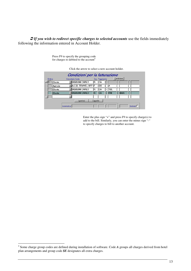*If you wish to redirect specific charges to selected accounts* use the fields immediately following the information entered in Account Holder.



Press F9 to specify the grouping code for charges to debited to the account 4

> Enter the plus sign "+" and press F9 to specify charge(s) to add to the bill. Similarly, you can enter the minus sign "-" to specify charges to bill to another account.

<sup>4</sup> Some charge group codes are defined during installation of software. Code *A* groups all charges derived from hotel plan arrangements and group code *\$E* designates all extra charges.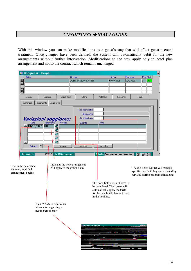## *CONDITIONS STAY FOLDER*

With this window you can make modifications to a guest's stay that will affect guest account treatment. Once changes have been defined, the system will automatically debit for the new arrangements without further intervention. Modifications to the stay apply only to hotel plan arrangement and not to the contract which remains unchanged.

| Ditta<br>$\boxed{\blacksquare}$                                       |                                                                                    | Gruppo<br><b>CONVENTION BAYER</b>                                     |                                                                                                                                                            | Arrivo<br>09/09/2001 | Partenza<br>10/09/2001 | Pre. Stato<br>I1 | GG.                                                                                                                    |
|-----------------------------------------------------------------------|------------------------------------------------------------------------------------|-----------------------------------------------------------------------|------------------------------------------------------------------------------------------------------------------------------------------------------------|----------------------|------------------------|------------------|------------------------------------------------------------------------------------------------------------------------|
|                                                                       |                                                                                    |                                                                       |                                                                                                                                                            |                      |                        |                  |                                                                                                                        |
|                                                                       |                                                                                    |                                                                       |                                                                                                                                                            |                      |                        |                  |                                                                                                                        |
| Evento                                                                | Condizioni<br>Camere<br>Soggiorno                                                  | Storia                                                                | Addebiti                                                                                                                                                   | Meeting              |                        | Totali           |                                                                                                                        |
| Pagamento<br>Garanzia<br>Data<br>$\overline{\phantom{a}}$<br>Dettagli | Variazioni soggiorno:<br>Trattamento<br>Prezzo<br>€<br>€<br>€<br>€<br>❹<br>Ricerca | Tipo esenzione<br>Tipo sconto<br>Tipo telefono<br>Sconto<br>Inserisci | Note<br>Cancella                                                                                                                                           |                      |                        |                  |                                                                                                                        |
| <b>Numero</b>                                                         | 17818 N.Riferimento                                                                |                                                                       | <b>Stato</b> Garantito congresso                                                                                                                           |                      |                        | Off   WL Gar     |                                                                                                                        |
| This is the date when<br>the new, modified<br>arrangement begins      | Indicates the new arrangement<br>will apply to the group's stay                    |                                                                       | The price field does not have to<br>be completed. The system will<br>automatically apply the tariff<br>for the new hotel plan indicated<br>in the booking. |                      |                        |                  | These 3 fields will let you manage<br>specific details if they are activated by<br>GP Dati during program initializing |
|                                                                       | Click Details to enter other<br>information regarding a<br>meeting/group stay      |                                                                       |                                                                                                                                                            |                      |                        |                  |                                                                                                                        |
|                                                                       |                                                                                    |                                                                       |                                                                                                                                                            |                      |                        |                  |                                                                                                                        |
|                                                                       |                                                                                    | <b>81 Dettenti Songiorno</b>                                          |                                                                                                                                                            |                      | <b>M. B. Continued</b> | $\Box$           |                                                                                                                        |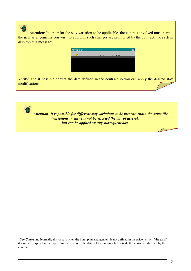Attention: In order for the stay variation to be applicable, the contract involved must permit the new arrangements you wish to apply. If such changes are prohibited by the contract, the system displays this message:

| <b>Attenzione!</b> |   |  |  |
|--------------------|---|--|--|
|                    |   |  |  |
|                    | w |  |  |
|                    |   |  |  |
|                    |   |  |  |
|                    |   |  |  |
|                    |   |  |  |
|                    |   |  |  |
|                    |   |  |  |
|                    |   |  |  |
|                    |   |  |  |

Verify<sup>5</sup> and if possible correct the data defined in the contract so you can apply the desired stay modifications.



<sup>&</sup>lt;sup>5</sup> See *Contracts*: Normally this occurs when the hotel plan arrangement is not defined in the price list, or if the tariff doesn't correspond to the type of room used, or if the dates of the booking fall outside the season established by the contract.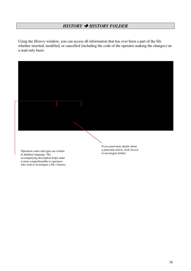#### *HISTORY HISTORY FOLDER*

Using the *History* window, you can access all information that has ever been a part of the file whether inserted, modified, or cancelled (including the code of the operator making the changes) on a read only basis.



Operation codes and types are written in database language. The accompanying description helps make it more comprehensible to operators who wish to investigate a file's history. If you need more details about a particular action, click *Search* to investigate further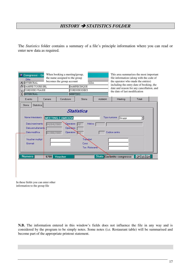## *HISTORY STATISTICS FOLDER*

The *Statistics* folder contains a summary of a file's principle information where you can read or enter new data as required.

| ×<br>$\triangleq$<br>٠<br>z | Congressi - Gr<br><b>Ditta</b><br>INTERCRAL<br>SAMPEI TOURS SRL<br>CORDUSIO VIAGGI<br><b>INTERCRAL</b>     |                          | When booking a meeting/group,<br>the name assigned to the group<br>becomes the group account<br><b>MEETING</b> | <b>CIZIA</b><br>SAMPEICINQUE<br>CORDUSIODIECI                 |          | This area summarizes the most important<br>file information (along with the code of<br>the operator who made the entries)<br>including the entry date of booking, the<br>date and reason for any cancellation, and<br>the date of last modification |              |  |
|-----------------------------|------------------------------------------------------------------------------------------------------------|--------------------------|----------------------------------------------------------------------------------------------------------------|---------------------------------------------------------------|----------|-----------------------------------------------------------------------------------------------------------------------------------------------------------------------------------------------------------------------------------------------------|--------------|--|
|                             | Evento                                                                                                     | Camere                   | Condizioni                                                                                                     | Storia                                                        | Addebiti | Meeting                                                                                                                                                                                                                                             | Totali       |  |
|                             | Statistica<br>Storia                                                                                       |                          |                                                                                                                |                                                               |          |                                                                                                                                                                                                                                                     |              |  |
|                             | Nome Intestatario<br>Data inserimento<br>Data annullamentb<br>Data modifica<br>Voucher multipl<br>Giornali | 04/04/2001<br>07/08/2001 | <b>MEETING 2 AMICIZIA</b><br><b>Q</b> peratore<br>Operatore<br>Operatore <sup>1</sup>                          | Statistica<br>Motivo<br>Transfert<br>Corsi<br>Tav. Ristorante |          | Tipo riunione<br>Gruppi<br>Codice centro                                                                                                                                                                                                            |              |  |
|                             | <b>Numero</b>                                                                                              | 6700                     | Voucher                                                                                                        |                                                               |          | Stato Garantito congresso                                                                                                                                                                                                                           | Off   WL Gar |  |

In these fields you can enter other information to the group file

**N.B.** The information entered in this window's fields does not influence the file in any way and is considered by the program to be simply notes. Some notes (i.e. Restaurant table) will be summarised and become part of the appropriate printout statement.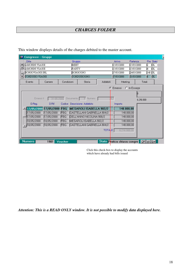## *CHARGES FOLDER*

| 瘹              | Congressi - Gruppi     |                           |            |           |                            |               |     |                             |             |           |                        |     |
|----------------|------------------------|---------------------------|------------|-----------|----------------------------|---------------|-----|-----------------------------|-------------|-----------|------------------------|-----|
|                | <b>Ditta</b>           |                           |            | Gruppo    |                            |               |     | Arrivo<br>Partenza          |             |           | Pre. Stato             |     |
|                | AMORINI VIAGGI         |                           |            | MEET      |                            |               |     | 15/05/2000                  | 15/05/2000  |           | Þ.                     | þЕ  |
| A              | <b>AMORINI VIAGGI</b>  |                           |            | PARTY     |                            |               |     | 15/05/2000                  | 15/05/2000  |           | þ                      | þЬ  |
|                | <b>BORGOVIAGGI SRL</b> |                           |            |           | <b>BORGOUNO</b>            |               |     | 17/05/2000                  | 24/05/2000  |           | 148   GL               |     |
| $\blacksquare$ | CORDUSIO VIAGGI        |                           |            |           | CORDUSIOUNO                |               |     | 17/05/2000                  | 31/05/2000  |           | b                      | GL. |
|                | Evento                 | Camere                    | Condizioni |           | Storia                     | Addebiti      |     | Meeting                     |             |           | Totali                 |     |
|                |                        |                           |            |           |                            | G             |     | Emessi                      | C In Essere |           |                        |     |
|                |                        |                           |            |           |                            |               |     |                             |             |           |                        |     |
|                | Emessi il              | $31 - 05 - 2000$          |            | Documento | Numero -<br>F              |               | 957 |                             |             | 6.216.000 |                        |     |
|                | D.Reg.                 | D.Bif.                    | Codice     |           | Descrizione Addebito       |               |     | Importo                     |             |           |                        |     |
|                |                        | 17/05/2000 17/05/2000 FBG |            |           | MESAROLI ISABELLA 902/2    |               |     | 148.000,00                  |             |           |                        |     |
|                | 17/05/2000             | 17/05/2000                | FBG        |           | CASTELLANI GABRIELLA 904/2 |               |     |                             | 148.000,00  |           |                        |     |
|                | 17/05/2000             | 17/05/2000                | FBG        |           | DELL'ANNO NICOLINA 908/2   |               |     |                             | 148.000,00  |           |                        |     |
|                | 18/05/2000             | 18/05/2000                | FBG        |           | MESAROLHSABELLA 902/2      |               |     |                             | 148.000,00  |           |                        |     |
|                | $\sqrt{18/05/2000}$    | 18/05/2000                | FBG        |           | CASTELLANI GABRIELLA 904/2 |               |     |                             | 148.000,00  |           |                        |     |
|                |                        |                           |            |           |                            | <b>TOTALE</b> |     | 6.216.000,00                |             |           |                        |     |
|                |                        |                           |            |           |                            |               |     |                             |             |           |                        |     |
|                |                        |                           |            |           |                            |               |     |                             |             |           |                        |     |
|                | <b>Numero</b>          | 1901                      | Voucher    |           |                            |               |     | Stato Pratica chiusa congre |             |           | <u>  Off  WL  G</u> ar |     |

This window displays details of the charges debited to the master account.

Click this check-box to display the accounts which have already had bills issued

*Attention: This is a READ ONLY window. It is not possible to modify data displayed here.*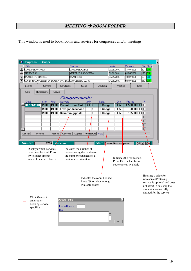# *MEETING ROOM FOLDER*

This window is used to book rooms and services for congresses and/or meetings.

| Congressi - Gruppi                  |                                                                                                      |                                                  |                                                                                                                                  |                     |                                                        |                                                                                                            |            |                                                           |                     |                                                                                                                                                              |
|-------------------------------------|------------------------------------------------------------------------------------------------------|--------------------------------------------------|----------------------------------------------------------------------------------------------------------------------------------|---------------------|--------------------------------------------------------|------------------------------------------------------------------------------------------------------------|------------|-----------------------------------------------------------|---------------------|--------------------------------------------------------------------------------------------------------------------------------------------------------------|
| Ditta                               |                                                                                                      |                                                  | Gruppo                                                                                                                           |                     |                                                        | Arrivo                                                                                                     | Partenza   |                                                           | Pre. Stato          |                                                                                                                                                              |
| ×<br>CORDUSIO VIAGGI                |                                                                                                      |                                                  | CORDUSIODIECI                                                                                                                    |                     |                                                        | 01/09/2001                                                                                                 | 13/09/2001 |                                                           | ko.<br>GG.          |                                                                                                                                                              |
| ۸<br><b>INTERCRAL</b>               |                                                                                                      |                                                  | MEETING 2 AMICIZIA                                                                                                               |                     |                                                        | 01/09/2001                                                                                                 | 08/09/2001 |                                                           | 120 GG              |                                                                                                                                                              |
| SAMPEI TOURS SRL<br>▼               |                                                                                                      |                                                  | SAMPEISEI                                                                                                                        |                     |                                                        | 03/09/2001                                                                                                 | 10/09/2001 |                                                           | 阿<br>ßО             |                                                                                                                                                              |
| z                                   |                                                                                                      |                                                  | CORSI & CONGRESSI DI MARIA CARME CONGRESSO AIRO                                                                                  |                     |                                                        | 04/09/2001                                                                                                 | 08/09/2001 |                                                           | 350 <mark>GG</mark> |                                                                                                                                                              |
| Evento                              | Camere                                                                                               | Condizioni                                       | Storia                                                                                                                           |                     | <b>Addebiti</b>                                        | Meeting                                                                                                    |            | Totali                                                    |                     |                                                                                                                                                              |
| Sale                                | Ristorazione                                                                                         | Servizi                                          |                                                                                                                                  |                     |                                                        |                                                                                                            |            |                                                           |                     |                                                                                                                                                              |
| Data<br>Dettagli                    | Inizio<br>Fine<br>01/09/2001 09:00 19:00<br>09:00<br>19:00<br>09:00<br>19:00<br>Ricerca<br>Inserisci | Servizio<br>Cancella                             | Congressuale<br>Prenotazione Sala 120<br>Lavagna luminosa <sup>1</sup><br>Schermo gigante<br>l1.<br>Duplica   Atrezzature   Note | Q/P<br>1G<br>G<br>G | Sala<br>C. Congr.<br>C. Congr.<br>C. Congr.            | Dis.<br><b>TEA</b><br>TEA<br><b>TEA</b>                                                                    | Prezzo     | $1.500.000,00$ $\Box$<br>$50.000,00$ $\Box$<br>125.000,00 |                     |                                                                                                                                                              |
| <b>Numero</b><br>F9 to select among | 6700<br>Displays which services<br>have been booked. Press<br>available service choices              | Voucher                                          | Indicates the number of<br>persons using the service or<br>the number requested of a<br>particular service item                  |                     |                                                        | Stato Garantito congresso<br>Indicates the room code.<br>Press F9 to select from<br>code choices available |            |                                                           | <b>Off</b> WL Gar   |                                                                                                                                                              |
|                                     |                                                                                                      |                                                  |                                                                                                                                  | available rooms     | Indicates the room booked.<br>Press F9 to select among |                                                                                                            |            |                                                           |                     | Entering a price for<br>refreshment/catering<br>serivce is optional and does<br>not affect in any way the<br>amount automatically<br>debited for the service |
| enter other<br>specifics            | Click Details to<br>booking/service                                                                  | <b>Dettagli Sale</b><br>Minimo Garantito<br>Note |                                                                                                                                  |                     |                                                        | $\propto$<br>Esci                                                                                          |            |                                                           |                     |                                                                                                                                                              |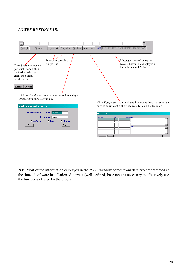#### *LOWER BUTTON BAR:*

| Dettagli<br>Inserisci<br>Cancella<br>Ricerca                                                                      | Duplica   Atrezzature Note   L CLIENTE RICHIEDE UN SERVI                                                                  |
|-------------------------------------------------------------------------------------------------------------------|---------------------------------------------------------------------------------------------------------------------------|
| Inserts or cancels a<br>single line<br>Click Search to locate a<br>particualr item within<br>the folder. When you | Messages inserted using the<br>Details button, are displayed in<br>the field marked Notes                                 |
| click, the button<br>divides in two:<br>Esegui Annulla                                                            |                                                                                                                           |
| Clicking Duplicate allows you to re-book one day's<br>service/room for a second day                               |                                                                                                                           |
| Duplica o cancella i servizi                                                                                      | Click Equipment and this dialog box opens. You can enter any<br>service equipment a client requests for a particular room |
| Duplico i servizi del giorno: 01-09-2001                                                                          | <b>Atrezzature</b>                                                                                                        |
| Nel giorno: 02-09-2001<br>$C$ Sala<br>C Giorno<br>$C$ seRvizio<br>$E$ sci<br><u>0</u> k                           | Prezzo Note<br>Servizio<br>ОP<br>Note1                                                                                    |
|                                                                                                                   | Salva   Cancella<br>$E$ sci                                                                                               |

**N.B.** Most of the information displayed in the *Room* window comes from data pre-programmed at the time of software installation. A correct (well-defined) base table is necessary to effectively use the functions offered by the program.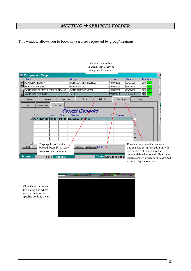# *MEETING SERVICES FOLDER*

This window allows you to book any services requested by group/meetings.

|                          |      |                                                         |               |                                       |        |                                       | Indicates the number<br>of guests that a service<br>arrangement includes |        |                          |                          |                                                                      |            |                                                                                                                        |
|--------------------------|------|---------------------------------------------------------|---------------|---------------------------------------|--------|---------------------------------------|--------------------------------------------------------------------------|--------|--------------------------|--------------------------|----------------------------------------------------------------------|------------|------------------------------------------------------------------------------------------------------------------------|
|                          |      | Congressi - Gruppi                                      |               |                                       |        |                                       |                                                                          |        |                          |                          |                                                                      |            | - 10                                                                                                                   |
| Ditta                    |      | ARCA SARDEGNA                                           |               |                                       | Gruppo | TORNEO TENNIS ARCA                    |                                                                          | Arrivo | 18/09/2001               | Partenza<br>22/09/2001   | $260$ $G$                                                            | Pre. Stato | 回                                                                                                                      |
| $\triangle$              |      | <b>BORGOVIAGGI SRL</b><br>CONGRESS STUDIO INTERNATIONAL |               |                                       |        | <b>BORGOUNDICI</b><br>CONGRESSO FIMMG |                                                                          |        | 19/09/2001<br>19/09/2001 | 26/09/2001<br>23/09/2001 | $140$ GG<br>$\sqrt{700}$ $G$                                         |            |                                                                                                                        |
| z                        |      | WORLD TRAVEL JET                                        |               |                                       | AGIP   |                                       |                                                                          |        | 27/09/2001               | 30/09/2001               | 1000 GG                                                              |            |                                                                                                                        |
| Evento                   |      | Camere                                                  |               | Condizioni                            |        | Storia                                | Addebiti                                                                 |        | Meeting                  |                          | Totali                                                               |            |                                                                                                                        |
| Sale                     |      | Ristorazione                                            | Servizi       |                                       |        |                                       |                                                                          |        |                          |                          |                                                                      |            |                                                                                                                        |
|                          | Data |                                                         | <b>Inizio</b> | Fine                                  |        | Servizi Generici<br>Servizio          |                                                                          |        | Prezzo                   |                          |                                                                      |            |                                                                                                                        |
|                          |      | 27/09/2001 09:00                                        |               | 19:00                                 |        | Servizio Hostess                      |                                                                          |        |                          |                          |                                                                      |            |                                                                                                                        |
|                          |      |                                                         |               |                                       |        |                                       |                                                                          |        |                          |                          |                                                                      |            |                                                                                                                        |
| Dettagl<br><b>Numero</b> |      | Displays list of services<br>from available services    | 6277          | booked. Press F9 to select<br>Voucher |        | Atrezzature Note<br>$D$ uplica        | Stato Garantito conqu                                                    |        |                          |                          | Entering the price of a service is<br>does not effect in any way the |            | optional and for information only. It<br>amount debited automatically for the<br>relative charge which must be debited |
|                          |      |                                                         |               |                                       |        |                                       |                                                                          |        |                          |                          | manually by the operator                                             |            |                                                                                                                        |



Click *Details* to open this dialog box where you can enter other specific booking details

21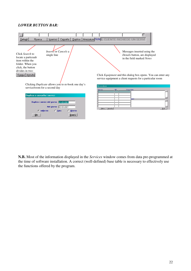#### *LOWER BUTTON BAR:*



**N.B.** Most of the information displayed in the *Services* window comes from data pre-programmed at the time of software installation. A correct (well-defined) base table is necessary to effectively use the functions offered by the program.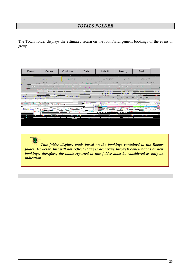## *TOTALS FOLDER*

The Totals folder displays the estimated return on the room/arrangement bookings of the event or group.

| Evento                                     | Camere                                      | Condizioni                                     | <b>Storia</b>                                                                                                                             | Addebiti                                                                                                                           | Meeting                                                | Totali                             |                |
|--------------------------------------------|---------------------------------------------|------------------------------------------------|-------------------------------------------------------------------------------------------------------------------------------------------|------------------------------------------------------------------------------------------------------------------------------------|--------------------------------------------------------|------------------------------------|----------------|
| <b>Visiting</b>                            | 998.                                        | Electricity of                                 | Cars and                                                                                                                                  | $\label{eq:constr} \frac{1}{2}\left(\frac{1}{2}\left(\alpha+\beta\right)\right)\left(\frac{1}{2}\left(\alpha+\beta\right)\right).$ | 金融税金 (1)                                               | 数据控制                               |                |
| 1.43333<br>1 - 2 - 2 - 2 - 2 - 2 - 2 - 2 - | 1.1.1.1.1<br>37.32<br>I st van<br>1.11      | exercises and<br>A Million Conflict 1<br>sta i | for a strained by a<br>and the process of the con-<br>$\mathcal{L}$ and $\mathcal{L}$ and $\mathcal{L}$ and $\mathcal{L}$<br>and Caribber | the control of the con-<br>1 . 1 . 1 . 1 . 1 . 1 . 1 . 1 . 1 .<br><b>CANADIAN COMPANY</b>                                          | $\sim 10$<br>$\mathcal{L} \times \mathcal{L}$<br>2.2.1 | かまひとり<br><b>A MONTH CONTRACTOR</b> |                |
| <b>CONTRACTOR</b> AND ARTS                 | $2.42 - 1.1$                                |                                                | <b>CALL COMMANDATION</b>                                                                                                                  | A . A . M . A . A . A . A . M . A                                                                                                  | $\cdots$                                               | .                                  |                |
|                                            | . <u>. .</u>                                |                                                |                                                                                                                                           |                                                                                                                                    |                                                        |                                    | ಜಾ             |
|                                            | $7.7$ and $7.7$                             |                                                | илегал                                                                                                                                    |                                                                                                                                    |                                                        | т.                                 | $-1/32$<br>रदर |
| 3.55%<br>.                                 |                                             | <u>k name</u> kale                             |                                                                                                                                           |                                                                                                                                    | <b>SHAPPER</b>                                         |                                    | 321            |
| . .                                        | $\sim$ $\sim$ $\sim$ $\sim$ $\sim$<br>14223 |                                                |                                                                                                                                           |                                                                                                                                    |                                                        | <b>ARRA</b>                        |                |
|                                            |                                             |                                                |                                                                                                                                           |                                                                                                                                    |                                                        |                                    |                |

*This folder displays totals based on the bookings contained in the Rooms folder. However, this will not reflect changes occurring through cancellations or new bookings, therefore, the totals reported in this folder must be considered as only an indication.*